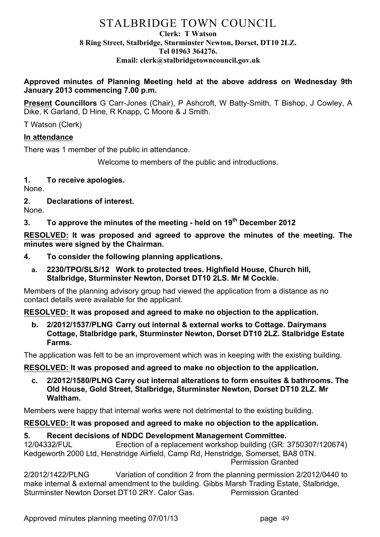# STALBRIDGE TOWN COUNCIL

#### **Clerk: T Watson 8 Ring Street, Stalbridge, Sturminster Newton, Dorset, DT10 2LZ. Tel 01963 364276. Email: clerk@stalbridgetowncouncil.gov.uk**

**Approved minutes of Planning Meeting held at the above address on Wednesday 9th January 2013 commencing 7.00 p.m.**

**Present Councillors** G Carr-Jones (Chair), P Ashcroft, W Batty-Smith, T Bishop, J Cowley, A Dike, K Garland, D Hine, R Knapp, C Moore & J Smith.

T Watson (Clerk)

# **In attendance**

There was 1 member of the public in attendance.

Welcome to members of the public and introductions.

# **1. To receive apologies.**

None.

**2. Declarations of interest.**

None.

# **3. To approve the minutes of the meeting - held on 19th December 2012**

**RESOLVED: It was proposed and agreed to approve the minutes of the meeting. The minutes were signed by the Chairman.**

- **4. To consider the following planning applications.**
	- **a. 2230/TPO/SLS/12 Work to protected trees. Highfield House, Church hill, Stalbridge, Sturminster Newton, Dorset DT10 2LS. Mr M Cockle.**

Members of the planning advisory group had viewed the application from a distance as no contact details were available for the applicant.

# **RESOLVED: It was proposed and agreed to make no objection to the application.**

**b. 2/2012/1537/PLNG Carry out internal & external works to Cottage. Dairymans Cottage, Stalbridge park, Sturminster Newton, Dorset DT10 2LZ. Stalbridge Estate Farms.**

The application was felt to be an improvement which was in keeping with the existing building.

#### **RESOLVED: It was proposed and agreed to make no objection to the application.**

**c. 2/2012/1580/PLNG Carry out internal alterations to form ensuites & bathrooms. The Old House, Gold Street, Stalbridge, Sturminster Newton, Dorset DT10 2LZ. Mr Waltham.**

Members were happy that internal works were not detrimental to the existing building.

# **RESOLVED: It was proposed and agreed to make no objection to the application.**

# **5. Recent decisions of NDDC Development Management Committee.**

12/04332/FUL Erection of a replacement workshop building (GR: 3750307/120674) Kedgeworth 2000 Ltd, Henstridge Airfield, Camp Rd, Henstridge, Somerset, BA8 0TN. Permission Granted

2/2012/1422/PLNG Variation of condition 2 from the planning permission 2/2012/0440 to make internal & external amendment to the building. Gibbs Marsh Trading Estate, Stalbridge, Sturminster Newton Dorset DT10 2RY. Calor Gas. Permission Granted